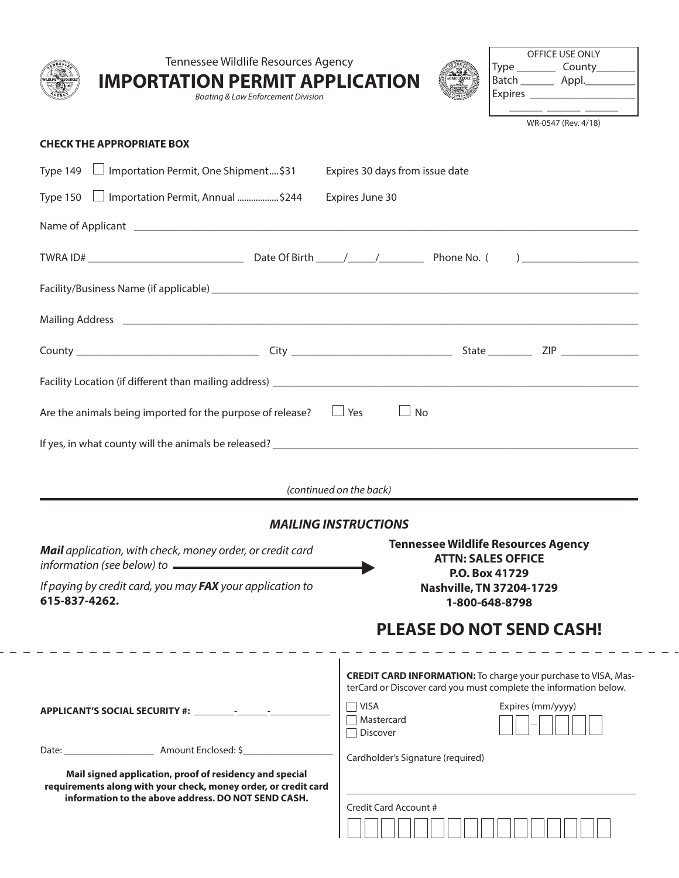| <b>IMPORTATION PERMIT APPLICATION</b><br>Boating & Law Enforcement Division                                                                                                       | OFFICE USE ONLY<br>Tennessee Wildlife Resources Agency<br>Type _____________ County__________<br>Batch __________ Appl.___________                                                                         |
|-----------------------------------------------------------------------------------------------------------------------------------------------------------------------------------|------------------------------------------------------------------------------------------------------------------------------------------------------------------------------------------------------------|
| <b>CHECK THE APPROPRIATE BOX</b>                                                                                                                                                  | WR-0547 (Rev. 4/18)                                                                                                                                                                                        |
| Type 149 □ Importation Permit, One Shipment\$31                                                                                                                                   | Expires 30 days from issue date                                                                                                                                                                            |
| Type 150   Importation Permit, Annual \$244                                                                                                                                       | Expires June 30                                                                                                                                                                                            |
|                                                                                                                                                                                   |                                                                                                                                                                                                            |
|                                                                                                                                                                                   |                                                                                                                                                                                                            |
|                                                                                                                                                                                   |                                                                                                                                                                                                            |
|                                                                                                                                                                                   |                                                                                                                                                                                                            |
|                                                                                                                                                                                   |                                                                                                                                                                                                            |
|                                                                                                                                                                                   |                                                                                                                                                                                                            |
|                                                                                                                                                                                   | (continued on the back)                                                                                                                                                                                    |
|                                                                                                                                                                                   | <b>MAILING INSTRUCTIONS</b>                                                                                                                                                                                |
| Mail application, with check, money order, or credit card<br>information (see below) to $\qquad \qquad$                                                                           | <b>Tennessee Wildlife Resources Agency</b><br><b>ATTN: SALES OFFICE</b>                                                                                                                                    |
| If paying by credit card, you may FAX your application to<br>615-837-4262.                                                                                                        | P.O. Box 41729<br><b>Nashville, TN 37204-1729</b><br>1-800-648-8798                                                                                                                                        |
|                                                                                                                                                                                   | <b>PLEASE DO NOT SEND CASH!</b>                                                                                                                                                                            |
|                                                                                                                                                                                   | <b>CREDIT CARD INFORMATION:</b> To charge your purchase to VISA, Mas-<br>terCard or Discover card you must complete the information below.<br>$\Box$ VISA<br>Expires (mm/yyyy)<br>□ Mastercard<br>Discover |
|                                                                                                                                                                                   | Cardholder's Signature (required)                                                                                                                                                                          |
| Mail signed application, proof of residency and special<br>requirements along with your check, money order, or credit card<br>information to the above address. DO NOT SEND CASH. | Credit Card Account #                                                                                                                                                                                      |